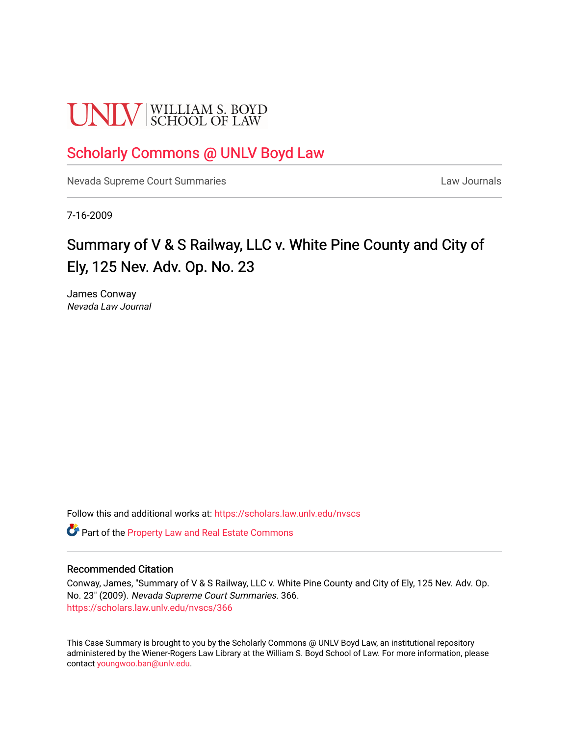# **UNLV** SCHOOL OF LAW

## [Scholarly Commons @ UNLV Boyd Law](https://scholars.law.unlv.edu/)

[Nevada Supreme Court Summaries](https://scholars.law.unlv.edu/nvscs) **Law Journals** Law Journals

7-16-2009

# Summary of V & S Railway, LLC v. White Pine County and City of Ely, 125 Nev. Adv. Op. No. 23

James Conway Nevada Law Journal

Follow this and additional works at: [https://scholars.law.unlv.edu/nvscs](https://scholars.law.unlv.edu/nvscs?utm_source=scholars.law.unlv.edu%2Fnvscs%2F366&utm_medium=PDF&utm_campaign=PDFCoverPages)

Part of the [Property Law and Real Estate Commons](http://network.bepress.com/hgg/discipline/897?utm_source=scholars.law.unlv.edu%2Fnvscs%2F366&utm_medium=PDF&utm_campaign=PDFCoverPages) 

#### Recommended Citation

Conway, James, "Summary of V & S Railway, LLC v. White Pine County and City of Ely, 125 Nev. Adv. Op. No. 23" (2009). Nevada Supreme Court Summaries. 366. [https://scholars.law.unlv.edu/nvscs/366](https://scholars.law.unlv.edu/nvscs/366?utm_source=scholars.law.unlv.edu%2Fnvscs%2F366&utm_medium=PDF&utm_campaign=PDFCoverPages)

This Case Summary is brought to you by the Scholarly Commons @ UNLV Boyd Law, an institutional repository administered by the Wiener-Rogers Law Library at the William S. Boyd School of Law. For more information, please contact [youngwoo.ban@unlv.edu](mailto:youngwoo.ban@unlv.edu).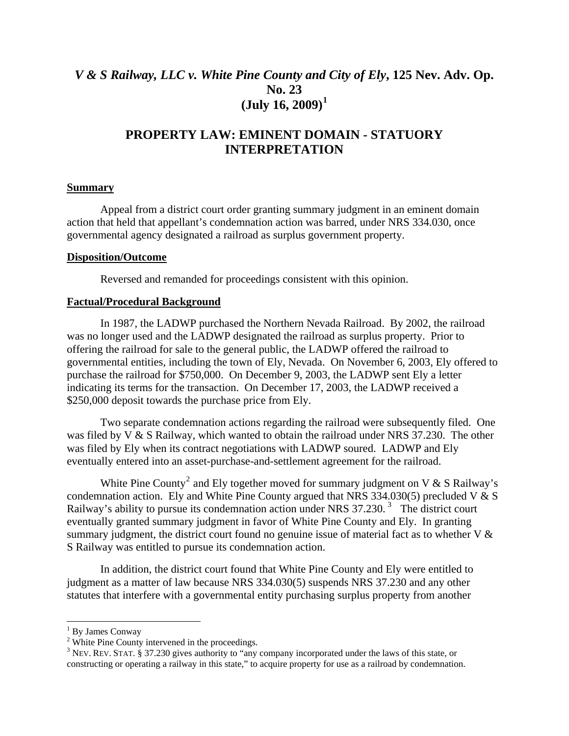## *V & S Railway, LLC v. White Pine County and City of Ely***, 125 Nev. Adv. Op. No. 23 (July 16, 2009)[1](#page-1-0)**

### **PROPERTY LAW: EMINENT DOMAIN - STATUORY INTERPRETATION**

#### **Summary**

 Appeal from a district court order granting summary judgment in an eminent domain action that held that appellant's condemnation action was barred, under NRS 334.030, once governmental agency designated a railroad as surplus government property.

#### **Disposition/Outcome**

Reversed and remanded for proceedings consistent with this opinion.

#### **Factual/Procedural Background**

 In 1987, the LADWP purchased the Northern Nevada Railroad. By 2002, the railroad was no longer used and the LADWP designated the railroad as surplus property. Prior to offering the railroad for sale to the general public, the LADWP offered the railroad to governmental entities, including the town of Ely, Nevada. On November 6, 2003, Ely offered to purchase the railroad for \$750,000. On December 9, 2003, the LADWP sent Ely a letter indicating its terms for the transaction. On December 17, 2003, the LADWP received a \$250,000 deposit towards the purchase price from Ely.

 Two separate condemnation actions regarding the railroad were subsequently filed. One was filed by V & S Railway, which wanted to obtain the railroad under NRS 37.230. The other was filed by Ely when its contract negotiations with LADWP soured. LADWP and Ely eventually entered into an asset-purchase-and-settlement agreement for the railroad.

White Pine County<sup>[2](#page-1-1)</sup> and Ely together moved for summary judgment on V & S Railway's condemnation action. Ely and White Pine County argued that NRS 334.030(5) precluded V & S Railway's ability to pursue its condemnation action under NRS [3](#page-1-2)7.230.<sup>3</sup> The district court eventually granted summary judgment in favor of White Pine County and Ely. In granting summary judgment, the district court found no genuine issue of material fact as to whether  $V \&$ S Railway was entitled to pursue its condemnation action.

In addition, the district court found that White Pine County and Ely were entitled to judgment as a matter of law because NRS 334.030(5) suspends NRS 37.230 and any other statutes that interfere with a governmental entity purchasing surplus property from another

<span id="page-1-0"></span><sup>&</sup>lt;sup>1</sup> By James Conway

<span id="page-1-1"></span><sup>&</sup>lt;sup>2</sup> White Pine County intervened in the proceedings.

<span id="page-1-2"></span> $3$  NEV. REV. STAT. § 37.230 gives authority to "any company incorporated under the laws of this state, or constructing or operating a railway in this state," to acquire property for use as a railroad by condemnation.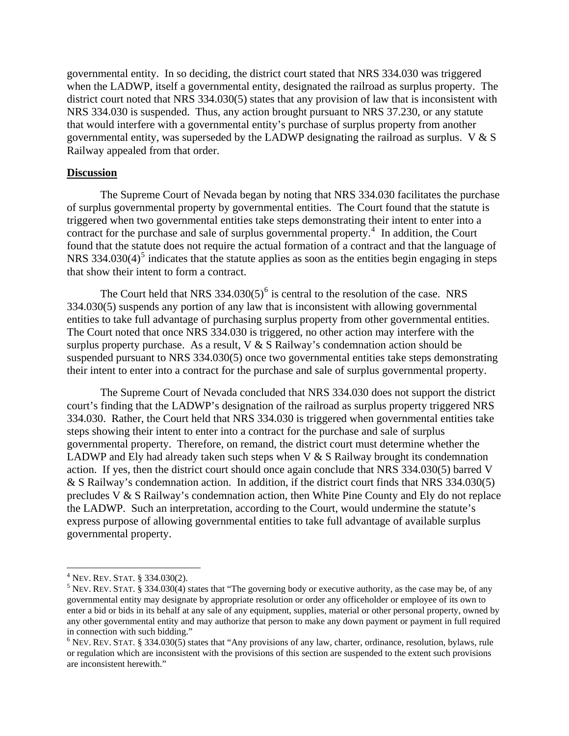governmental entity. In so deciding, the district court stated that NRS 334.030 was triggered when the LADWP, itself a governmental entity, designated the railroad as surplus property. The district court noted that NRS 334.030(5) states that any provision of law that is inconsistent with NRS 334.030 is suspended. Thus, any action brought pursuant to NRS 37.230, or any statute that would interfere with a governmental entity's purchase of surplus property from another governmental entity, was superseded by the LADWP designating the railroad as surplus. V & S Railway appealed from that order.

#### **Discussion**

 The Supreme Court of Nevada began by noting that NRS 334.030 facilitates the purchase of surplus governmental property by governmental entities. The Court found that the statute is triggered when two governmental entities take steps demonstrating their intent to enter into a contract for the purchase and sale of surplus governmental property. $4$  In addition, the Court found that the statute does not require the actual formation of a contract and that the language of NRS 334.030 $(4)^5$  $(4)^5$  indicates that the statute applies as soon as the entities begin engaging in steps that show their intent to form a contract.

The Court held that NRS  $334.030(5)^6$  $334.030(5)^6$  is central to the resolution of the case. NRS 334.030(5) suspends any portion of any law that is inconsistent with allowing governmental entities to take full advantage of purchasing surplus property from other governmental entities. The Court noted that once NRS 334.030 is triggered, no other action may interfere with the surplus property purchase. As a result,  $V & S$  Railway's condemnation action should be suspended pursuant to NRS 334.030(5) once two governmental entities take steps demonstrating their intent to enter into a contract for the purchase and sale of surplus governmental property.

 The Supreme Court of Nevada concluded that NRS 334.030 does not support the district court's finding that the LADWP's designation of the railroad as surplus property triggered NRS 334.030. Rather, the Court held that NRS 334.030 is triggered when governmental entities take steps showing their intent to enter into a contract for the purchase and sale of surplus governmental property. Therefore, on remand, the district court must determine whether the LADWP and Ely had already taken such steps when  $V & S$  Railway brought its condemnation action. If yes, then the district court should once again conclude that NRS 334.030(5) barred V & S Railway's condemnation action. In addition, if the district court finds that NRS 334.030(5) precludes V & S Railway's condemnation action, then White Pine County and Ely do not replace the LADWP. Such an interpretation, according to the Court, would undermine the statute's express purpose of allowing governmental entities to take full advantage of available surplus governmental property.

<sup>4&</sup>lt;br><sup>4</sup> Nev. Rev. Stat. § 334.030(2).<br><sup>5</sup> Nev. Rev. Stat. § 334.030(4).stat.

<span id="page-2-1"></span><span id="page-2-0"></span> $5$  NEV. REV. STAT. § 334.030(4) states that "The governing body or executive authority, as the case may be, of any governmental entity may designate by appropriate resolution or order any officeholder or employee of its own to enter a bid or bids in its behalf at any sale of any equipment, supplies, material or other personal property, owned by any other governmental entity and may authorize that person to make any down payment or payment in full required in connection with such bidding."

<span id="page-2-2"></span> $6$  NEV. REV. STAT. § 334.030(5) states that "Any provisions of any law, charter, ordinance, resolution, bylaws, rule or regulation which are inconsistent with the provisions of this section are suspended to the extent such provisions are inconsistent herewith."